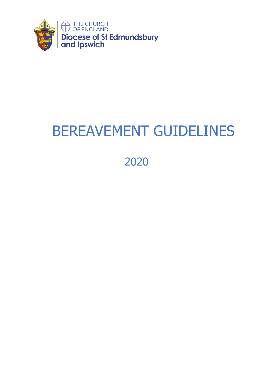

# BEREAVEMENT GUIDELINES

2020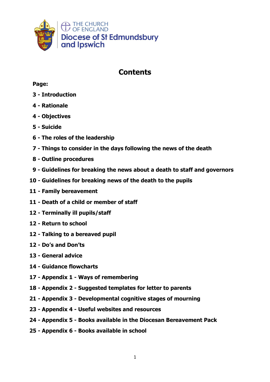

# **Contents**

# **Page:**

- **- Introduction**
- **- Rationale**
- **- Objectives**
- **5 - Suicide**
- **- The roles of the leadership**
- **- Things to consider in the days following the news of the death**
- **- Outline procedures**
- **- Guidelines for breaking the news about a death to staff and governors**
- **- Guidelines for breaking news of the death to the pupils**
- **- Family bereavement**
- **- Death of a child or member of staff**
- **- Terminally ill pupils/staff**
- **- Return to school**
- **- Talking to a bereaved pupil**
- **- Do's and Don'ts**
- **- General advice**
- **- Guidance flowcharts**
- **- Appendix 1 - Ways of remembering**
- **- Appendix 2 - Suggested templates for letter to parents**
- **- Appendix 3 - Developmental cognitive stages of mourning**
- **- Appendix 4 - Useful websites and resources**
- **- Appendix 5 - Books available in the Diocesan Bereavement Pack**
- **- Appendix 6 - Books available in school**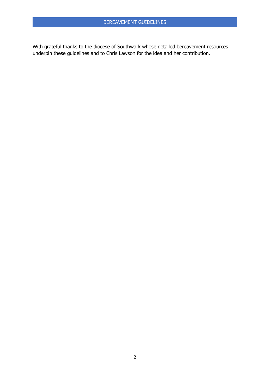With grateful thanks to the diocese of Southwark whose detailed bereavement resources underpin these guidelines and to Chris Lawson for the idea and her contribution.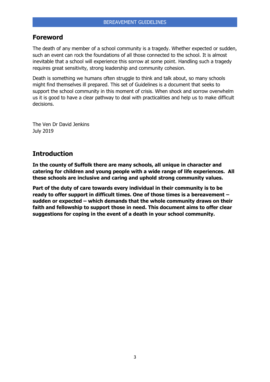# **Foreword**

The death of any member of a school community is a tragedy. Whether expected or sudden, such an event can rock the foundations of all those connected to the school. It is almost inevitable that a school will experience this sorrow at some point. Handling such a tragedy requires great sensitivity, strong leadership and community cohesion.

Death is something we humans often struggle to think and talk about, so many schools might find themselves ill prepared. This set of Guidelines is a document that seeks to support the school community in this moment of crisis. When shock and sorrow overwhelm us it is good to have a clear pathway to deal with practicalities and help us to make difficult decisions.

The Ven Dr David Jenkins July 2019

# **Introduction**

**In the county of Suffolk there are many schools, all unique in character and catering for children and young people with a wide range of life experiences. All these schools are inclusive and caring and uphold strong community values.**

**Part of the duty of care towards every individual in their community is to be ready to offer support in difficult times. One of those times is a bereavement – sudden or expected – which demands that the whole community draws on their faith and fellowship to support those in need. This document aims to offer clear suggestions for coping in the event of a death in your school community.**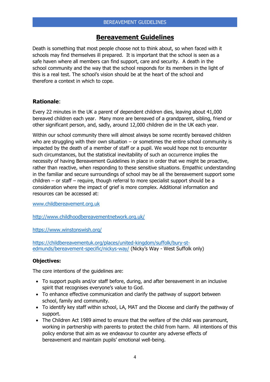# **Bereavement Guidelines**

Death is something that most people choose not to think about, so when faced with it schools may find themselves ill prepared. It is important that the school is seen as a safe haven where all members can find support, care and security. A death in the school community and the way that the school responds for its members in the light of this is a real test. The school's vision should be at the heart of the school and therefore a context in which to cope.

# **Rationale**:

Every 22 minutes in the UK a parent of dependent children dies, leaving about 41,000 bereaved children each year. Many more are bereaved of a grandparent, sibling, friend or other significant person, and, sadly, around 12,000 children die in the UK each year.

Within our school community there will almost always be some recently bereaved children who are struggling with their own situation  $-$  or sometimes the entire school community is impacted by the death of a member of staff or a pupil. We would hope not to encounter such circumstances, but the statistical inevitability of such an occurrence implies the necessity of having Bereavement Guidelines in place in order that we might be proactive, rather than reactive, when responding to these sensitive situations. Empathic understanding in the familiar and secure surroundings of school may be all the bereavement support some children – or staff – require, though referral to more specialist support should be a consideration where the impact of grief is more complex. Additional information and resources can be accessed at:

[www.childbereavement.org.uk](http://www.childbereavement.org.uk/)

<http://www.childhoodbereavementnetwork.org.uk/>

<https://www.winstonswish.org/>

[https://childbereavementuk.org/places/united-kingdom/suffolk/bury-st](https://childbereavementuk.org/places/united-kingdom/suffolk/bury-st-edmunds/bereavement-specific/nickys-way/)[edmunds/bereavement-specific/nickys-way/](https://childbereavementuk.org/places/united-kingdom/suffolk/bury-st-edmunds/bereavement-specific/nickys-way/) (Nicky's Way - West Suffolk only)

#### **Objectives:**

The core intentions of the guidelines are:

- To support pupils and/or staff before, during, and after bereavement in an inclusive spirit that recognises everyone's value to God.
- To enhance effective communication and clarify the pathway of support between school, family and community.
- To identify key staff within school, LA, MAT and the Diocese and clarify the pathway of support.
- The Children Act 1989 aimed to ensure that the welfare of the child was paramount, working in partnership with parents to protect the child from harm. All intentions of this policy endorse that aim as we endeavour to counter any adverse effects of bereavement and maintain pupils' emotional well-being.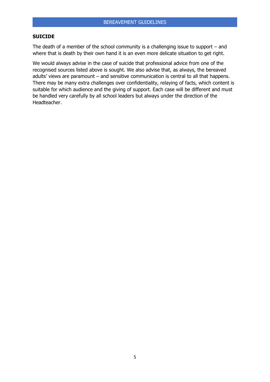#### **SUICIDE**

The death of a member of the school community is a challenging issue to support – and where that is death by their own hand it is an even more delicate situation to get right.

We would always advise in the case of suicide that professional advice from one of the recognised sources listed above is sought. We also advise that, as always, the bereaved adults' views are paramount – and sensitive communication is central to all that happens. There may be many extra challenges over confidentiality, relaying of facts, which content is suitable for which audience and the giving of support. Each case will be different and must be handled very carefully by all school leaders but always under the direction of the Headteacher.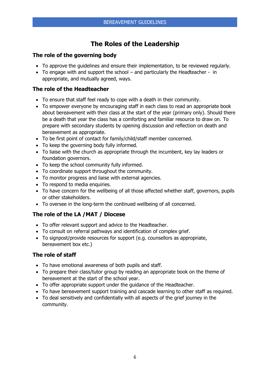# **The Roles of the Leadership**

# **The role of the governing body**

- To approve the guidelines and ensure their implementation, to be reviewed regularly.
- To engage with and support the school and particularly the Headteacher in appropriate, and mutually agreed, ways.

# **The role of the Headteacher**

- To ensure that staff feel ready to cope with a death in their community.
- To empower everyone by encouraging staff in each class to read an appropriate book about bereavement with their class at the start of the year (primary only). Should there be a death that year the class has a comforting and familiar resource to draw on. To prepare with secondary students by opening discussion and reflection on death and bereavement as appropriate.
- To be first point of contact for family/child/staff member concerned.
- To keep the governing body fully informed.
- To liaise with the church as appropriate through the incumbent, key lay leaders or foundation governors.
- To keep the school community fully informed.
- To coordinate support throughout the community.
- To monitor progress and liaise with external agencies.
- To respond to media enquiries.
- To have concern for the wellbeing of all those affected whether staff, governors, pupils or other stakeholders.
- To oversee in the long-term the continued wellbeing of all concerned.

# **The role of the LA /MAT / Diocese**

- To offer relevant support and advice to the Headteacher.
- To consult on referral pathways and identification of complex grief.
- To signpost/provide resources for support (e.g. counsellors as appropriate, bereavement box etc.)

# **The role of staff**

- To have emotional awareness of both pupils and staff.
- To prepare their class/tutor group by reading an appropriate book on the theme of bereavement at the start of the school year.
- To offer appropriate support under the guidance of the Headteacher.
- To have bereavement support training and cascade learning to other staff as required.
- To deal sensitively and confidentially with all aspects of the grief journey in the community.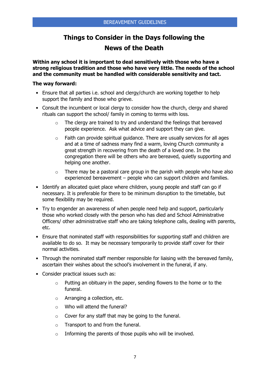# **Things to Consider in the Days following the News of the Death**

**Within any school it is important to deal sensitively with those who have a strong religious tradition and those who have very little. The needs of the school and the community must be handled with considerable sensitivity and tact.** 

#### **The way forward:**

- Ensure that all parties i.e. school and clergy/church are working together to help support the family and those who grieve.
- Consult the incumbent or local clergy to consider how the church, clergy and shared rituals can support the school/ family in coming to terms with loss.
	- o The clergy are trained to try and understand the feelings that bereaved people experience. Ask what advice and support they can give.
	- $\circ$  Faith can provide spiritual guidance. There are usually services for all ages and at a time of sadness many find a warm, loving Church community a great strength in recovering from the death of a loved one. In the congregation there will be others who are bereaved, quietly supporting and helping one another.
	- $\circ$  There may be a pastoral care group in the parish with people who have also experienced bereavement – people who can support children and families.
- Identify an allocated quiet place where children, young people and staff can go if necessary. It is preferable for there to be minimum disruption to the timetable, but some flexibility may be required.
- Try to engender an awareness of when people need help and support, particularly those who worked closely with the person who has died and School Administrative Officers/ other administrative staff who are taking telephone calls, dealing with parents, etc.
- Ensure that nominated staff with responsibilities for supporting staff and children are available to do so. It may be necessary temporarily to provide staff cover for their normal activities.
- Through the nominated staff member responsible for liaising with the bereaved family, ascertain their wishes about the school's involvement in the funeral, if any.
- Consider practical issues such as:
	- o Putting an obituary in the paper, sending flowers to the home or to the funeral.
	- o Arranging a collection, etc.
	- o Who will attend the funeral?
	- $\circ$  Cover for any staff that may be going to the funeral.
	- o Transport to and from the funeral.
	- o Informing the parents of those pupils who will be involved.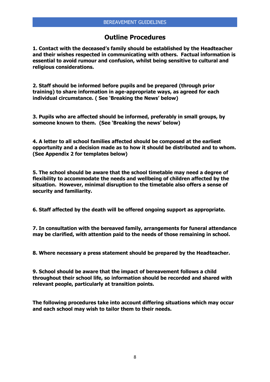# **Outline Procedures**

**1. Contact with the deceased's family should be established by the Headteacher and their wishes respected in communicating with others. Factual information is essential to avoid rumour and confusion, whilst being sensitive to cultural and religious considerations.** 

**2. Staff should be informed before pupils and be prepared (through prior training) to share information in age-appropriate ways, as agreed for each individual circumstance. ( See 'Breaking the News' below)**

**3. Pupils who are affected should be informed, preferably in small groups, by someone known to them. (See 'Breaking the news' below)**

**4. A letter to all school families affected should be composed at the earliest opportunity and a decision made as to how it should be distributed and to whom. (See Appendix 2 for templates below)**

**5. The school should be aware that the school timetable may need a degree of flexibility to accommodate the needs and wellbeing of children affected by the situation. However, minimal disruption to the timetable also offers a sense of security and familiarity.**

**6. Staff affected by the death will be offered ongoing support as appropriate.** 

**7. In consultation with the bereaved family, arrangements for funeral attendance may be clarified, with attention paid to the needs of those remaining in school.**

**8. Where necessary a press statement should be prepared by the Headteacher.**

**9. School should be aware that the impact of bereavement follows a child throughout their school life, so information should be recorded and shared with relevant people, particularly at transition points.**

**The following procedures take into account differing situations which may occur and each school may wish to tailor them to their needs.**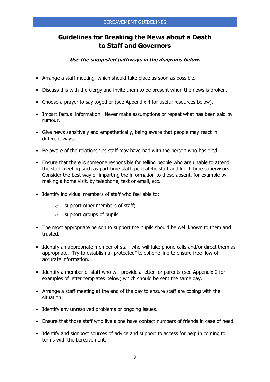# **Guidelines for Breaking the News about a Death to Staff and Governors**

# **Use the suggested pathways in the diagrams below.**

- Arrange a staff meeting, which should take place as soon as possible.
- Discuss this with the clergy and invite them to be present when the news is broken.
- Choose a prayer to say together (see Appendix 4 for useful resources below).
- Impart factual information. Never make assumptions or repeat what has been said by rumour.
- Give news sensitively and empathetically, being aware that people may react in different ways.
- Be aware of the relationships staff may have had with the person who has died.
- Ensure that there is someone responsible for telling people who are unable to attend the staff meeting such as part-time staff, peripatetic staff and lunch time supervisors. Consider the best way of imparting the information to those absent, for example by making a home visit, by telephone, text or email, etc.
- Identify individual members of staff who feel able to:
	- o support other members of staff;
	- o support groups of pupils.
- The most appropriate person to support the pupils should be well known to them and trusted.
- Identify an appropriate member of staff who will take phone calls and/or direct them as appropriate. Try to establish a "protected" telephone line to ensure free flow of accurate information.
- Identify a member of staff who will provide a letter for parents (see Appendix 2 for examples of letter templates below) which should be sent the same day.
- Arrange a staff meeting at the end of the day to ensure staff are coping with the situation.
- Identify any unresolved problems or ongoing issues.
- Ensure that those staff who live alone have contact numbers of friends in case of need.
- Identify and signpost sources of advice and support to access for help in coming to terms with the bereavement.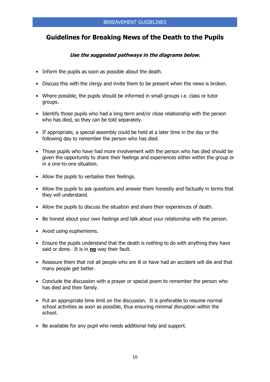# **Guidelines for Breaking News of the Death to the Pupils**

## **Use the suggested pathways in the diagrams below.**

- Inform the pupils as soon as possible about the death.
- Discuss this with the clergy and invite them to be present when the news is broken.
- Where possible, the pupils should be informed in small groups i.e. class or tutor groups.
- Identify those pupils who had a long term and/or close relationship with the person who has died, so they can be told separately.
- If appropriate, a special assembly could be held at a later time in the day or the following day to remember the person who has died.
- Those pupils who have had more involvement with the person who has died should be given the opportunity to share their feelings and experiences either within the group or in a one-to-one situation.
- Allow the pupils to verbalise their feelings.
- Allow the pupils to ask questions and answer them honestly and factually in terms that they will understand.
- Allow the pupils to discuss the situation and share their experiences of death.
- Be honest about your own feelings and talk about your relationship with the person.
- Avoid using euphemisms.
- Ensure the pupils understand that the death is nothing to do with anything they have said or done. It is in **no** way their fault.
- Reassure them that not all people who are ill or have had an accident will die and that many people get better.
- Conclude the discussion with a prayer or special poem to remember the person who has died and their family.
- Put an appropriate time limit on the discussion. It is preferable to resume normal school activities as soon as possible, thus ensuring minimal disruption within the school.
- Be available for any pupil who needs additional help and support.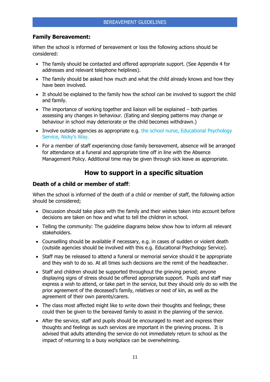# **Family Bereavement:**

When the school is informed of bereavement or loss the following actions should be considered:

- The family should be contacted and offered appropriate support. (See Appendix 4 for addresses and relevant telephone helplines).
- The family should be asked how much and what the child already knows and how they have been involved.
- It should be explained to the family how the school can be involved to support the child and family.
- The importance of working together and liaison will be explained both parties assessing any changes in behaviour. (Eating and sleeping patterns may change or behaviour in school may deteriorate or the child becomes withdrawn.)
- Involve outside agencies as appropriate e.g. the school nurse, Educational Psychology Service, Nicky's Way.
- For a member of staff experiencing close family bereavement, absence will be arranged for attendance at a funeral and appropriate time off in line with the Absence Management Policy. Additional time may be given through sick leave as appropriate.

# **How to support in a specific situation**

#### **Death of a child or member of staff**:

When the school is informed of the death of a child or member of staff, the following action should be considered;

- Discussion should take place with the family and their wishes taken into account before decisions are taken on how and what to tell the children in school.
- Telling the community: The guideline diagrams below show how to inform all relevant stakeholders.
- Counselling should be available if necessary, e.g. in cases of sudden or violent death (outside agencies should be involved with this e.g. Educational Psychology Service).
- Staff may be released to attend a funeral or memorial service should it be appropriate and they wish to do so. At all times such decisions are the remit of the headteacher.
- Staff and children should be supported throughout the grieving period; anyone displaying signs of stress should be offered appropriate support. Pupils and staff may express a wish to attend, or take part in the service, but they should only do so with the prior agreement of the deceased's family, relatives or next of kin, as well as the agreement of their own parents/carers.
- The class most affected might like to write down their thoughts and feelings; these could then be given to the bereaved family to assist in the planning of the service.
- After the service, staff and pupils should be encouraged to meet and express their thoughts and feelings as such services are important in the grieving process. It is advised that adults attending the service do not immediately return to school as the impact of returning to a busy workplace can be overwhelming.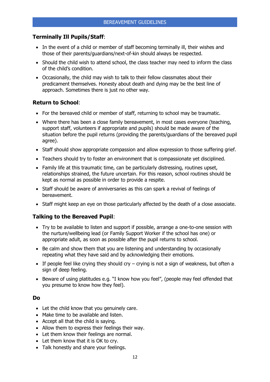# **Terminally Ill Pupils/Staff**:

- In the event of a child or member of staff becoming terminally ill, their wishes and those of their parents/guardians/next-of-kin should always be respected.
- Should the child wish to attend school, the class teacher may need to inform the class of the child's condition.
- Occasionally, the child may wish to talk to their fellow classmates about their predicament themselves. Honesty about death and dying may be the best line of approach. Sometimes there is just no other way.

# **Return to School**:

- For the bereaved child or member of staff, returning to school may be traumatic.
- Where there has been a close family bereavement, in most cases everyone (teaching, support staff, volunteers if appropriate and pupils) should be made aware of the situation before the pupil returns (providing the parents/guardians of the bereaved pupil agree).
- Staff should show appropriate compassion and allow expression to those suffering grief.
- Teachers should try to foster an environment that is compassionate yet disciplined.
- Family life at this traumatic time, can be particularly distressing, routines upset, relationships strained, the future uncertain. For this reason, school routines should be kept as normal as possible in order to provide a respite.
- Staff should be aware of anniversaries as this can spark a revival of feelings of bereavement.
- Staff might keep an eye on those particularly affected by the death of a close associate.

# **Talking to the Bereaved Pupil**:

- Try to be available to listen and support if possible, arrange a one-to-one session with the nurture/wellbeing lead (or Family Support Worker if the school has one) or appropriate adult, as soon as possible after the pupil returns to school.
- Be calm and show them that you are listening and understanding by occasionally repeating what they have said and by acknowledging their emotions.
- If people feel like crying they should cry crying is not a sign of weakness, but often a sign of deep feeling.
- Beware of using platitudes e.g. "I know how you feel", (people may feel offended that you presume to know how they feel).

#### **Do**

- Let the child know that you genuinely care.
- Make time to be available and listen.
- Accept all that the child is saying.
- Allow them to express their feelings their way.
- Let them know their feelings are normal.
- Let them know that it is OK to cry.
- Talk honestly and share your feelings.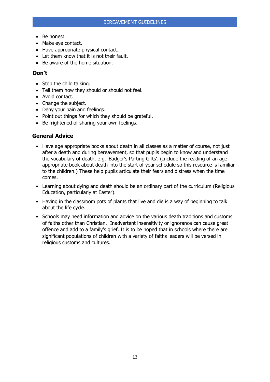- Be honest.
- Make eye contact.
- Have appropriate physical contact.
- Let them know that it is not their fault.
- Be aware of the home situation.

#### **Don't**

- Stop the child talking.
- Tell them how they should or should not feel.
- Avoid contact.
- Change the subject.
- Deny your pain and feelings.
- Point out things for which they should be grateful.
- Be frightened of sharing your own feelings.

## **General Advice**

- Have age appropriate books about death in all classes as a matter of course, not just after a death and during bereavement, so that pupils begin to know and understand the vocabulary of death, e.g. 'Badger's Parting Gifts'. (Include the reading of an age appropriate book about death into the start of year schedule so this resource is familiar to the children.) These help pupils articulate their fears and distress when the time comes.
- Learning about dying and death should be an ordinary part of the curriculum (Religious Education, particularly at Easter).
- Having in the classroom pots of plants that live and die is a way of beginning to talk about the life cycle.
- Schools may need information and advice on the various death traditions and customs of faiths other than Christian. Inadvertent insensitivity or ignorance can cause great offence and add to a family's grief. It is to be hoped that in schools where there are significant populations of children with a variety of faiths leaders will be versed in religious customs and cultures.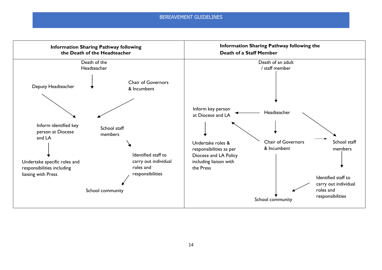#### BEREAVEMENT GUIDELINES

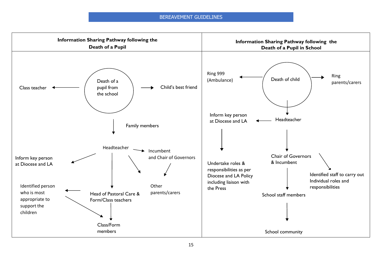#### BEREAVEMENT GUIDELINES

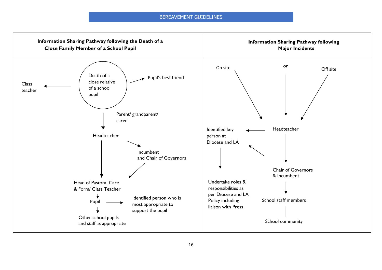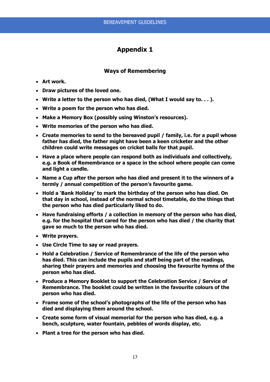## **Ways of Remembering**

- **Art work.**
- **Draw pictures of the loved one.**
- **Write a letter to the person who has died, (What I would say to. . . ).**
- **Write a poem for the person who has died.**
- **Make a Memory Box (possibly using Winston's resources).**
- **Write memories of the person who has died.**
- **Create memories to send to the bereaved pupil / family, i.e. for a pupil whose father has died, the father might have been a keen cricketer and the other children could write messages on cricket balls for that pupil.**
- **Have a place where people can respond both as individuals and collectively, e.g. a Book of Remembrance or a space in the school where people can come and light a candle.**
- **Name a Cup after the person who has died and present it to the winners of a termly / annual competition of the person's favourite game.**
- **Hold a 'Bank Holiday' to mark the birthday of the person who has died. On that day in school, instead of the normal school timetable, do the things that the person who has died particularly liked to do.**
- **Have fundraising efforts / a collection in memory of the person who has died, e.g. for the hospital that cared for the person who has died / the charity that gave so much to the person who has died.**
- **Write prayers.**
- **Use Circle Time to say or read prayers.**
- **Hold a Celebration / Service of Remembrance of the life of the person who has died. This can include the pupils and staff being part of the readings, sharing their prayers and memories and choosing the favourite hymns of the person who has died.**
- **Produce a Memory Booklet to support the Celebration Service / Service of Remembrance. The booklet could be written in the favourite colours of the person who has died.**
- **Frame some of the school's photographs of the life of the person who has died and displaying them around the school.**
- **Create some form of visual memorial for the person who has died, e.g. a bench, sculpture, water fountain, pebbles of words display, etc.**
- **Plant a tree for the person who has died.**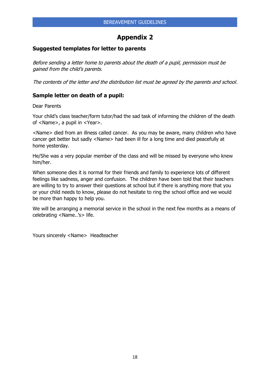## **Suggested templates for letter to parents**

Before sending a letter home to parents about the death of a pupil, permission must be gained from the child's parents.

The contents of the letter and the distribution list must be agreed by the parents and school.

# **Sample letter on death of a pupil:**

Dear Parents

Your child's class teacher/form tutor/had the sad task of informing the children of the death of <Name>, a pupil in <Year>.

<Name> died from an illness called cancer. As you may be aware, many children who have cancer get better but sadly <Name> had been ill for a long time and died peacefully at home yesterday.

He/She was a very popular member of the class and will be missed by everyone who knew him/her.

When someone dies it is normal for their friends and family to experience lots of different feelings like sadness, anger and confusion. The children have been told that their teachers are willing to try to answer their questions at school but if there is anything more that you or your child needs to know, please do not hesitate to ring the school office and we would be more than happy to help you.

We will be arranging a memorial service in the school in the next few months as a means of celebrating <Name..'s> life.

Yours sincerely <Name> Headteacher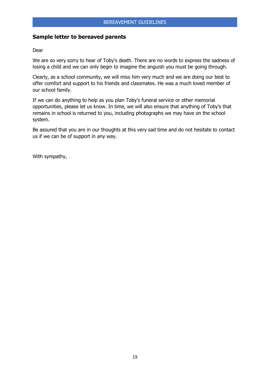# **Sample letter to bereaved parents**

#### Dear

We are so very sorry to hear of Toby's death. There are no words to express the sadness of losing a child and we can only begin to imagine the anguish you must be going through.

Clearly, as a school community, we will miss him very much and we are doing our best to offer comfort and support to his friends and classmates. He was a much loved member of our school family.

If we can do anything to help as you plan Toby's funeral service or other memorial opportunities, please let us know. In time, we will also ensure that anything of Toby's that remains in school is returned to you, including photographs we may have on the school system.

Be assured that you are in our thoughts at this very sad time and do not hesitate to contact us if we can be of support in any way.

With sympathy,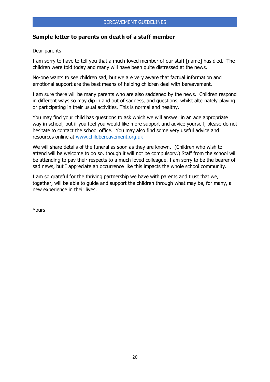# **Sample letter to parents on death of a staff member**

#### Dear parents

I am sorry to have to tell you that a much-loved member of our staff [name] has died. The children were told today and many will have been quite distressed at the news.

No-one wants to see children sad, but we are very aware that factual information and emotional support are the best means of helping children deal with bereavement.

I am sure there will be many parents who are also saddened by the news. Children respond in different ways so may dip in and out of sadness, and questions, whilst alternately playing or participating in their usual activities. This is normal and healthy.

You may find your child has questions to ask which we will answer in an age appropriate way in school, but if you feel you would like more support and advice yourself, please do not hesitate to contact the school office. You may also find some very useful advice and resources online at [www.childbereavement.org.uk](http://www.childbereavement.org.uk/)

We will share details of the funeral as soon as they are known. (Children who wish to attend will be welcome to do so, though it will not be compulsory.) Staff from the school will be attending to pay their respects to a much loved colleague. I am sorry to be the bearer of sad news, but I appreciate an occurrence like this impacts the whole school community.

I am so grateful for the thriving partnership we have with parents and trust that we, together, will be able to guide and support the children through what may be, for many, a new experience in their lives.

Yours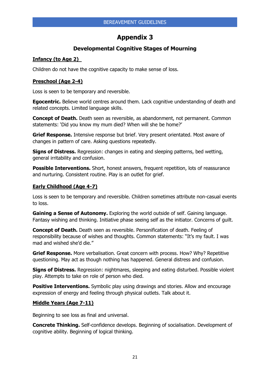# **Developmental Cognitive Stages of Mourning**

# **Infancy (to Age 2)**

Children do not have the cognitive capacity to make sense of loss.

# **Preschool (Age 2-4)**

Loss is seen to be temporary and reversible.

**Egocentric.** Believe world centres around them. Lack cognitive understanding of death and related concepts. Limited language skills.

**Concept of Death.** Death seen as reversible, as abandonment, not permanent. Common statements: 'Did you know my mum died? When will she be home?'

**Grief Response.** Intensive response but brief. Very present orientated. Most aware of changes in pattern of care. Asking questions repeatedly.

**Signs of Distress.** Regression: changes in eating and sleeping patterns, bed wetting, general irritability and confusion.

**Possible Interventions.** Short, honest answers, frequent repetition, lots of reassurance and nurturing. Consistent routine. Play is an outlet for grief.

# **Early Childhood (Age 4-7)**

Loss is seen to be temporary and reversible. Children sometimes attribute non-casual events to loss.

**Gaining a Sense of Autonomy.** Exploring the world outside of self. Gaining language. Fantasy wishing and thinking. Initiative phase seeing self as the initiator. Concerns of guilt.

**Concept of Death.** Death seen as reversible. Personification of death. Feeling of responsibility because of wishes and thoughts. Common statements: "It's my fault. I was mad and wished she'd die."

**Grief Response.** More verbalisation. Great concern with process. How? Why? Repetitive questioning. May act as though nothing has happened. General distress and confusion.

**Signs of Distress.** Regression: nightmares, sleeping and eating disturbed. Possible violent play. Attempts to take on role of person who died.

**Positive Interventions.** Symbolic play using drawings and stories. Allow and encourage expression of energy and feeling through physical outlets. Talk about it.

#### **Middle Years (Age 7-11)**

Beginning to see loss as final and universal.

**Concrete Thinking.** Self-confidence develops. Beginning of socialisation. Development of cognitive ability. Beginning of logical thinking.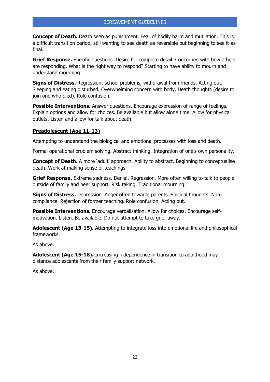**Concept of Death.** Death seen as punishment. Fear of bodily harm and mutilation. This is a difficult transition period, still wanting to see death as reversible but beginning to see it as final.

**Grief Response.** Specific questions. Desire for complete detail. Concerned with how others are responding. What is the right way to respond? Starting to have ability to mourn and understand mourning.

**Signs of Distress.** Regression: school problems, withdrawal from friends. Acting out. Sleeping and eating disturbed. Overwhelming concern with body. Death thoughts (desire to join one who died). Role confusion.

**Possible Interventions.** Answer questions. Encourage expression of range of feelings. Explain options and allow for choices. Be available but allow alone time. Allow for physical outlets. Listen and allow for talk about death.

#### **Preadolescent (Age 11-13)**

Attempting to understand the biological and emotional processes with loss and death.

Formal operational problem solving. Abstract thinking. Integration of one's own personality.

**Concept of Death.** A more 'adult' approach. Ability to abstract. Beginning to conceptualise death. Work at making sense of teachings.

**Grief Response.** Extreme sadness. Denial. Regression. More often willing to talk to people outside of family and peer support. Risk taking. Traditional mourning.

**Signs of Distress.** Depression. Anger often towards parents. Suicidal thoughts. Noncompliance. Rejection of former teaching. Role confusion. Acting out.

**Possible Interventions.** Encourage verbalisation. Allow for choices. Encourage selfmotivation. Listen. Be available. Do not attempt to take grief away.

**Adolescent (Age 13-15).** Attempting to integrate loss into emotional life and philosophical frameworks.

As above.

**Adolescent (Age 15-18).** Increasing independence in transition to adulthood may distance adolescents from their family support network.

As above.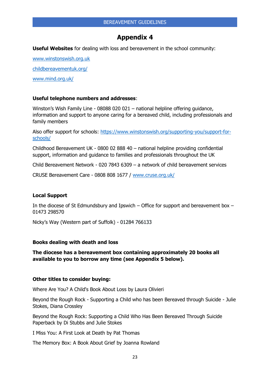**Useful Websites** for dealing with loss and bereavement in the school community:

[www.winstonswish.org.uk](http://www.winstonswish.org.uk/)

[childbereavementuk.org/](https://childbereavementuk.org/)

[www.mind.org.uk/](https://www.mind.org.uk/)

#### **Useful telephone numbers and addresses**:

Winston's Wish Family Line - 08088 020 021 – national helpline offering guidance, information and support to anyone caring for a bereaved child, including professionals and family members

Also offer support for schools: [https://www.winstonswish.org/supporting-you/support-for](https://www.winstonswish.org/supporting-you/support-for-schools/)[schools/](https://www.winstonswish.org/supporting-you/support-for-schools/)

Childhood Bereavement UK - 0800 02 888 40 – national helpline providing confidential support, information and guidance to families and professionals throughout the UK

Child Bereavement Network - 020 7843 6309 – a network of child bereavement services

CRUSE Bereavement Care - 0808 808 1677 / [www.cruse.org.uk/](https://www.cruse.org.uk/)

#### **Local Support**

In the diocese of St Edmundsbury and Ipswich – Office for support and bereavement box – 01473 298570

Nicky's Way (Western part of Suffolk) - 01284 766133

#### **Books dealing with death and loss**

**The diocese has a bereavement box containing approximately 20 books all available to you to borrow any time (see Appendix 5 below).** 

#### **Other titles to consider buying:**

Where Are You? A Child's Book About Loss by Laura Olivieri

Beyond the Rough Rock - Supporting a Child who has been Bereaved through Suicide - Julie Stokes, Diana Crossley

Beyond the Rough Rock: Supporting a Child Who Has Been Bereaved Through Suicide Paperback by Di Stubbs and Julie Stokes

I Miss You: A First Look at Death by Pat Thomas

The Memory Box: A Book About Grief by Joanna Rowland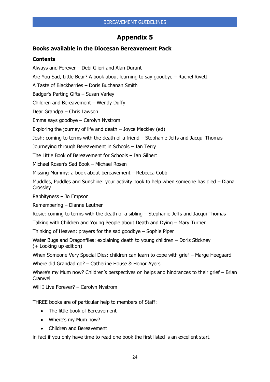## **Books available in the Diocesan Bereavement Pack**

#### **Contents**

Always and Forever – Debi Gliori and Alan Durant

Are You Sad, Little Bear? A book about learning to say goodbye – Rachel Rivett

A Taste of Blackberries – Doris Buchanan Smith

Badger's Parting Gifts – Susan Varley

Children and Bereavement – Wendy Duffy

Dear Grandpa – Chris Lawson

Emma says goodbye – Carolyn Nystrom

Exploring the journey of life and death – Joyce Mackley (ed)

Josh: coming to terms with the death of a friend – Stephanie Jeffs and Jacqui Thomas

Journeying through Bereavement in Schools – Ian Terry

The Little Book of Bereavement for Schools – Ian Gilbert

Michael Rosen's Sad Book – Michael Rosen

Missing Mummy: a book about bereavement – Rebecca Cobb

Muddles, Puddles and Sunshine: your activity book to help when someone has died – Diana **Crossley** 

Rabbityness – Jo Empson

Remembering – Dianne Leutner

Rosie: coming to terms with the death of a sibling – Stephanie Jeffs and Jacqui Thomas

Talking with Children and Young People about Death and Dying – Mary Turner

Thinking of Heaven: prayers for the sad goodbye – Sophie Piper

Water Bugs and Dragonflies: explaining death to young children – Doris Stickney (+ Looking up edition)

When Someone Very Special Dies: children can learn to cope with grief – Marge Heegaard

Where did Grandad go? – Catherine House & Honor Ayers

Where's my Mum now? Children's perspectives on helps and hindrances to their grief – Brian **Cranwell** 

Will I Live Forever? – Carolyn Nystrom

THREE books are of particular help to members of Staff:

- The little book of Bereavement
- Where's my Mum now?
- Children and Bereavement

in fact if you only have time to read one book the first listed is an excellent start.